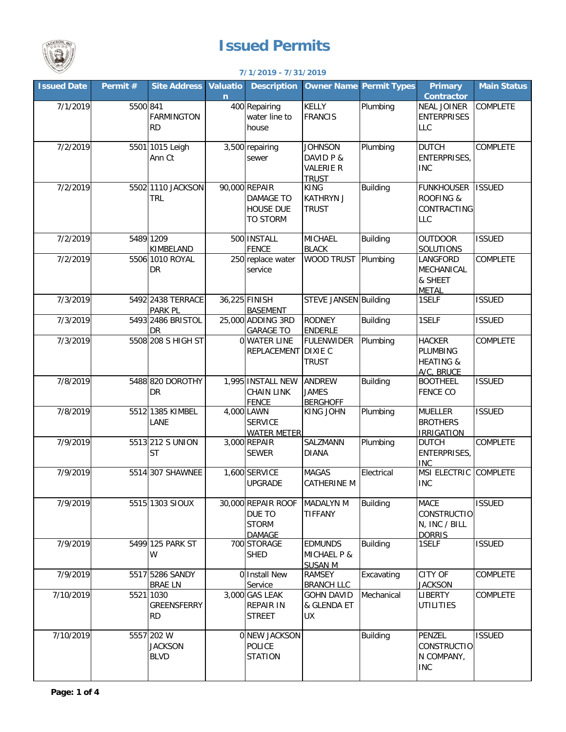

## **Issued Permits**

## **7/1/2019 - 7/31/2019**

| <b>Issued Date</b> | Permit # | <b>Site Address</b> | <b>Valuatio</b> | <b>Description</b>           | <b>Owner Name Permit Types</b> |                 | <b>Primary</b>                     | <b>Main Status</b> |
|--------------------|----------|---------------------|-----------------|------------------------------|--------------------------------|-----------------|------------------------------------|--------------------|
|                    |          |                     | $\mathbf n$     |                              |                                |                 | <b>Contractor</b>                  |                    |
| 7/1/2019           | 5500 841 |                     |                 | 400 Repairing                | KELLY                          | Plumbing        | <b>NEAL JOINER</b>                 | <b>COMPLETE</b>    |
|                    |          | <b>FARMINGTON</b>   |                 | water line to                | <b>FRANCIS</b>                 |                 | <b>ENTERPRISES</b>                 |                    |
|                    |          | <b>RD</b>           |                 | house                        |                                |                 | <b>LLC</b>                         |                    |
| 7/2/2019           |          | 5501 1015 Leigh     |                 | 3,500 repairing              | <b>JOHNSON</b>                 | Plumbing        | <b>DUTCH</b>                       | <b>COMPLETE</b>    |
|                    |          | Ann Ct              |                 | sewer                        | DAVID P &                      |                 | <b>ENTERPRISES,</b>                |                    |
|                    |          |                     |                 |                              | <b>VALERIE R</b>               |                 | <b>INC</b>                         |                    |
|                    |          |                     |                 |                              | <b>TRUST</b>                   |                 |                                    |                    |
| 7/2/2019           |          | 5502 1110 JACKSON   |                 | 90,000 REPAIR                | <b>KING</b>                    | <b>Building</b> | <b>FUNKHOUSER</b>                  | <b>ISSUED</b>      |
|                    |          | <b>TRL</b>          |                 | <b>DAMAGE TO</b>             | <b>KATHRYN J</b>               |                 | <b>ROOFING &amp;</b>               |                    |
|                    |          |                     |                 | <b>HOUSE DUE</b>             | <b>TRUST</b>                   |                 | CONTRACTING                        |                    |
|                    |          |                     |                 | <b>TO STORM</b>              |                                |                 | <b>LLC</b>                         |                    |
| 7/2/2019           |          | 5489 1209           |                 | 500 INSTALL                  | <b>MICHAEL</b>                 | Building        | <b>OUTDOOR</b>                     | <b>ISSUED</b>      |
|                    |          | KIMBELAND           |                 | <b>FENCE</b>                 | <b>BLACK</b>                   |                 | SOLUTIONS                          |                    |
| 7/2/2019           |          | 5506 1010 ROYAL     |                 | 250 replace water            | <b>WOOD TRUST</b>              | Plumbing        | LANGFORD                           | <b>COMPLETE</b>    |
|                    |          | DR                  |                 | service                      |                                |                 | MECHANICAL                         |                    |
|                    |          |                     |                 |                              |                                |                 | & SHEET                            |                    |
| 7/3/2019           |          | 5492 2438 TERRACE   |                 | 36,225 FINISH                | STEVE JANSEN Building          |                 | <b>METAL</b><br>1SELF              | <b>ISSUED</b>      |
|                    |          | PARK PL             |                 | <b>BASEMENT</b>              |                                |                 |                                    |                    |
| 7/3/2019           |          | 5493 2486 BRISTOL   |                 | 25,000 ADDING 3RD            | <b>RODNEY</b>                  | <b>Building</b> | 1SELF                              | <b>ISSUED</b>      |
|                    |          | DR                  |                 | <b>GARAGE TO</b>             | <b>ENDERLE</b>                 |                 |                                    |                    |
| 7/3/2019           |          | 5508 208 S HIGH ST  |                 | 0 WATER LINE                 | <b>FULENWIDER</b>              | Plumbing        | <b>HACKER</b>                      | <b>COMPLETE</b>    |
|                    |          |                     |                 | REPLACEMENT                  | <b>DIXIE C</b>                 |                 | <b>PLUMBING</b>                    |                    |
|                    |          |                     |                 |                              | <b>TRUST</b>                   |                 | <b>HEATING &amp;</b>               |                    |
| 7/8/2019           |          | 5488 820 DOROTHY    |                 | 1,995 INSTALL NEW            | <b>ANDREW</b>                  | <b>Building</b> | A/C, BRUCE                         | <b>ISSUED</b>      |
|                    |          | <b>DR</b>           |                 | <b>CHAIN LINK</b>            | <b>JAMES</b>                   |                 | <b>BOOTHEEL</b><br><b>FENCE CO</b> |                    |
|                    |          |                     |                 | <b>FENCE</b>                 | <b>BERGHOFF</b>                |                 |                                    |                    |
| 7/8/2019           |          | 5512 1385 KIMBEL    |                 | 4,000 LAWN                   | <b>KING JOHN</b>               | Plumbing        | <b>MUELLER</b>                     | <b>ISSUED</b>      |
|                    |          | LANE                |                 | <b>SERVICE</b>               |                                |                 | <b>BROTHERS</b>                    |                    |
|                    |          |                     |                 | <b>WATER METER</b>           |                                |                 | <b>IRRIGATION</b>                  |                    |
| 7/9/2019           |          | 5513 212 S UNION    |                 | 3,000 REPAIR                 | SALZMANN                       | Plumbing        | <b>DUTCH</b>                       | COMPLETE           |
|                    |          | <b>ST</b>           |                 | <b>SEWER</b>                 | <b>DIANA</b>                   |                 | <b>ENTERPRISES,</b><br><b>INC</b>  |                    |
| 7/9/2019           |          | 5514 307 SHAWNEE    |                 | 1,600 SERVICE                | <b>MAGAS</b>                   | Electrical      | MSI ELECTRIC                       | <b>COMPLETE</b>    |
|                    |          |                     |                 | <b>UPGRADE</b>               | <b>CATHERINE M</b>             |                 | <b>INC</b>                         |                    |
|                    |          |                     |                 |                              |                                |                 |                                    |                    |
| 7/9/2019           |          | 5515 1303 SIOUX     |                 | 30,000 REPAIR ROOF           | <b>MADALYN M</b>               | <b>Building</b> | MACE                               | <b>ISSUED</b>      |
|                    |          |                     |                 | DUE TO                       | TIFFANY                        |                 | <b>CONSTRUCTIO</b>                 |                    |
|                    |          |                     |                 | <b>STORM</b>                 |                                |                 | N, INC / BILL                      |                    |
| 7/9/2019           |          | 5499 125 PARK ST    |                 | <b>DAMAGE</b><br>700 STORAGE | <b>EDMUNDS</b>                 | <b>Building</b> | <b>DORRIS</b><br>1SELF             | <b>ISSUED</b>      |
|                    |          | W                   |                 | <b>SHED</b>                  | <b>MICHAEL P &amp;</b>         |                 |                                    |                    |
|                    |          |                     |                 |                              | <b>SUSAN M</b>                 |                 |                                    |                    |
| 7/9/2019           |          | 5517 5286 SANDY     |                 | 0 Install New                | <b>RAMSEY</b>                  | Excavating      | <b>CITY OF</b>                     | <b>COMPLETE</b>    |
|                    |          | <b>BRAE LN</b>      |                 | Service                      | <b>BRANCH LLC</b>              |                 | <b>JACKSON</b>                     |                    |
| 7/10/2019          |          | 5521 1030           |                 | 3,000 GAS LEAK               | <b>GOHN DAVID</b>              | Mechanical      | <b>LIBERTY</b>                     | COMPLETE           |
|                    |          | GREENSFERRY         |                 | <b>REPAIR IN</b>             | & GLENDA ET                    |                 | <b>UTILITIES</b>                   |                    |
|                    |          | <b>RD</b>           |                 | <b>STREET</b>                | <b>UX</b>                      |                 |                                    |                    |
| 7/10/2019          |          | 5557 202 W          |                 | <b>0 NEW JACKSON</b>         |                                | <b>Building</b> | PENZEL                             | <b>ISSUED</b>      |
|                    |          | <b>JACKSON</b>      |                 | <b>POLICE</b>                |                                |                 | <b>CONSTRUCTIO</b>                 |                    |
|                    |          | <b>BLVD</b>         |                 | <b>STATION</b>               |                                |                 | N COMPANY,                         |                    |
|                    |          |                     |                 |                              |                                |                 | <b>INC</b>                         |                    |
|                    |          |                     |                 |                              |                                |                 |                                    |                    |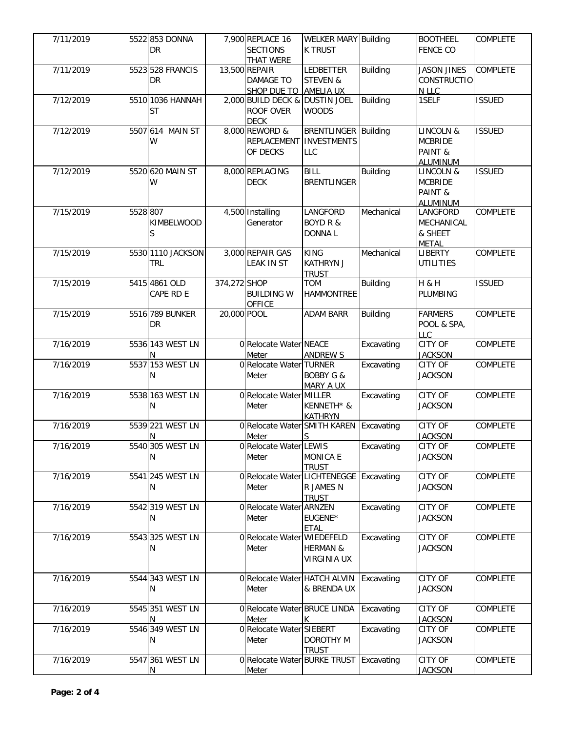| 7/11/2019 |          | 5522 853 DONNA<br><b>DR</b>   |              | 7,900 REPLACE 16<br><b>SECTIONS</b><br><b>THAT WERE</b>           | <b>WELKER MARY Building</b><br><b>K TRUST</b>    |                 | <b>BOOTHEEL</b><br><b>FENCE CO</b>                            | <b>COMPLETE</b> |
|-----------|----------|-------------------------------|--------------|-------------------------------------------------------------------|--------------------------------------------------|-----------------|---------------------------------------------------------------|-----------------|
| 7/11/2019 |          | 5523 528 FRANCIS<br>DR        |              | 13,500 REPAIR<br><b>DAMAGE TO</b><br>SHOP DUE TO AMELIA UX        | <b>LEDBETTER</b><br><b>STEVEN &amp;</b>          | <b>Building</b> | <b>JASON JINES</b><br>CONSTRUCTIO<br>N LLC                    | <b>COMPLETE</b> |
| 7/12/2019 |          | 5510 1036 HANNAH<br><b>ST</b> |              | 2,000 BUILD DECK & DUSTIN JOEL<br><b>ROOF OVER</b><br><b>DECK</b> | <b>WOODS</b>                                     | <b>Building</b> | 1SELF                                                         | <b>ISSUED</b>   |
| 7/12/2019 |          | 5507 614 MAIN ST<br>W         |              | 8,000 REWORD &<br>REPLACEMENT   INVESTMENTS<br>OF DECKS           | <b>BRENTLINGER Building</b><br><b>LLC</b>        |                 | <b>LINCOLN &amp;</b><br><b>MCBRIDE</b><br>PAINT &<br>ALUMINUM | <b>ISSUED</b>   |
| 7/12/2019 |          | 5520 620 MAIN ST<br>W         |              | 8,000 REPLACING<br><b>DECK</b>                                    | <b>BILL</b><br><b>BRENTLINGER</b>                | <b>Building</b> | LINCOLN &<br><b>MCBRIDE</b><br>PAINT &<br><b>ALUMINUM</b>     | <b>ISSUED</b>   |
| 7/15/2019 | 5528 807 | KIMBELWOOD<br>S               |              | 4,500 Installing<br>Generator                                     | LANGFORD<br><b>BOYD R &amp;</b><br><b>DONNAL</b> | Mechanical      | LANGFORD<br>MECHANICAL<br>& SHEET<br><b>METAL</b>             | COMPLETE        |
| 7/15/2019 |          | 5530 1110 JACKSON<br>TRL.     |              | 3,000 REPAIR GAS<br><b>LEAK IN ST</b>                             | <b>KING</b><br><b>KATHRYN J</b><br><b>TRUST</b>  | Mechanical      | <b>LIBERTY</b><br><b>UTILITIES</b>                            | <b>COMPLETE</b> |
| 7/15/2019 |          | 5415 4861 OLD<br>CAPE RD E    | 374,272 SHOP | <b>BUILDING W</b><br><b>OFFICE</b>                                | <b>TOM</b><br><b>HAMMONTREE</b>                  | <b>Building</b> | H & H<br><b>PLUMBING</b>                                      | <b>ISSUED</b>   |
| 7/15/2019 |          | 5516 789 BUNKER<br>DR         | 20,000 POOL  |                                                                   | <b>ADAM BARR</b>                                 | <b>Building</b> | <b>FARMERS</b><br>POOL & SPA,<br>LLC                          | <b>COMPLETE</b> |
| 7/16/2019 |          | 5536 143 WEST LN<br>N         |              | 0 Relocate Water NEACE<br>Meter                                   | <b>ANDREW S</b>                                  | Excavating      | CITY OF<br><b>JACKSON</b>                                     | COMPLETE        |
| 7/16/2019 |          | 5537 153 WEST LN<br>N         |              | 0 Relocate Water TURNER<br>Meter                                  | <b>BOBBY G &amp;</b><br>MARY A UX                | Excavating      | CITY OF<br><b>JACKSON</b>                                     | COMPLETE        |
| 7/16/2019 |          | 5538 163 WEST LN<br>N         |              | 0 Relocate Water MILLER<br>Meter                                  | KENNETH* &<br><b>KATHRYN</b>                     | Excavating      | <b>CITY OF</b><br><b>JACKSON</b>                              | <b>COMPLETE</b> |
| 7/16/2019 |          | 5539 221 WEST LN<br>N         |              | 0 Relocate Water SMITH KAREN Excavating<br>Meter                  | S.                                               |                 | CITY OF<br><b>JACKSON</b>                                     | COMPLETE        |
| 7/16/2019 |          | 5540 305 WEST LN<br>N         |              | 0 Relocate Water LEWIS<br>Meter                                   | <b>MONICA E</b><br><b>TRUST</b>                  | Excavating      | CITY OF<br><b>JACKSON</b>                                     | <b>COMPLETE</b> |
| 7/16/2019 |          | 5541 245 WEST LN<br>N         |              | 0 Relocate Water LICHTENEGGE Excavating<br>Meter                  | R JAMES N<br><b>TRUST</b>                        |                 | CITY OF<br><b>JACKSON</b>                                     | <b>COMPLETE</b> |
| 7/16/2019 |          | 5542 319 WEST LN<br>N         |              | 0 Relocate Water ARNZEN<br>Meter                                  | EUGENE*<br><b>ETAL</b>                           | Excavating      | CITY OF<br><b>JACKSON</b>                                     | COMPLETE        |
| 7/16/2019 |          | 5543 325 WEST LN<br>Ν         |              | 0 Relocate Water WIEDEFELD<br>Meter                               | <b>HERMAN &amp;</b><br><b>VIRGINIA UX</b>        | Excavating      | CITY OF<br><b>JACKSON</b>                                     | COMPLETE        |
| 7/16/2019 |          | 5544 343 WEST LN<br>N         |              | 0 Relocate Water HATCH ALVIN<br>Meter                             | & BRENDA UX                                      | Excavating      | CITY OF<br><b>JACKSON</b>                                     | COMPLETE        |
| 7/16/2019 |          | 5545 351 WEST LN<br>N         |              | 0 Relocate Water BRUCE LINDA<br>Meter                             | K                                                | Excavating      | CITY OF<br><b>JACKSON</b>                                     | COMPLETE        |
| 7/16/2019 |          | 5546 349 WEST LN<br>N         |              | 0 Relocate Water SIEBERT<br>Meter                                 | <b>DOROTHY M</b><br><b>TRUST</b>                 | Excavating      | CITY OF<br><b>JACKSON</b>                                     | COMPLETE        |
| 7/16/2019 |          | 5547 361 WEST LN<br>N         |              | 0 Relocate Water BURKE TRUST Excavating<br><b>Meter</b>           |                                                  |                 | CITY OF<br><b>JACKSON</b>                                     | <b>COMPLETE</b> |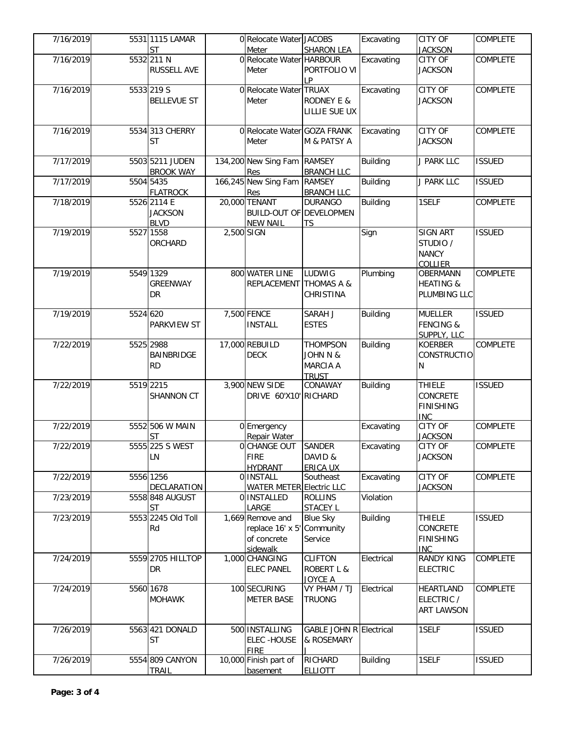| 7/16/2019 |          | 5531 1115 LAMAR                              |            | 0 Relocate Water JACOBS                                            |                                                                | Excavating      | <b>CITY OF</b>                                              | COMPLETE        |
|-----------|----------|----------------------------------------------|------------|--------------------------------------------------------------------|----------------------------------------------------------------|-----------------|-------------------------------------------------------------|-----------------|
|           |          | <b>ST</b>                                    |            | Meter                                                              | <b>SHARON LEA</b>                                              |                 | <b>JACKSON</b>                                              |                 |
| 7/16/2019 |          | 5532 211 N<br><b>RUSSELL AVE</b>             |            | 0 Relocate Water HARBOUR<br>Meter                                  | PORTFOLIO VI<br>LP                                             | Excavating      | CITY OF<br><b>JACKSON</b>                                   | COMPLETE        |
| 7/16/2019 |          | 5533 219 S<br><b>BELLEVUE ST</b>             |            | 0 Relocate Water TRUAX<br>Meter                                    | <b>RODNEY E &amp;</b><br>LILLIE SUE UX                         | Excavating      | CITY OF<br><b>JACKSON</b>                                   | COMPLETE        |
| 7/16/2019 |          | 5534 313 CHERRY<br><b>ST</b>                 |            | 0 Relocate Water GOZA FRANK<br>Meter                               | M & PATSY A                                                    | Excavating      | <b>CITY OF</b><br><b>JACKSON</b>                            | <b>COMPLETE</b> |
| 7/17/2019 |          | 5503 5211 JUDEN<br><b>BROOK WAY</b>          |            | 134,200 New Sing Fam<br>Res                                        | <b>RAMSEY</b><br><b>BRANCH LLC</b>                             | Building        | J PARK LLC                                                  | <b>ISSUED</b>   |
| 7/17/2019 |          | 5504 5435<br><b>FLATROCK</b>                 |            | 166,245 New Sing Fam RAMSEY<br>Res                                 | <b>BRANCH LLC</b>                                              | <b>Building</b> | J PARK LLC                                                  | <b>ISSUED</b>   |
| 7/18/2019 |          | 5526 2114 E<br><b>JACKSON</b><br><b>BLVD</b> |            | 20,000 TENANT<br><b>BUILD-OUT OF DEVELOPMEN</b><br><b>NEW NAIL</b> | <b>DURANGO</b><br><b>TS</b>                                    | <b>Building</b> | 1SELF                                                       | <b>COMPLETE</b> |
| 7/19/2019 |          | 5527 1558<br>ORCHARD                         | 2,500 SIGN |                                                                    |                                                                | Sign            | <b>SIGN ART</b><br>STUDIO /<br><b>NANCY</b><br>COLLIER      | <b>ISSUED</b>   |
| 7/19/2019 |          | 5549 1329<br><b>GREENWAY</b><br>DR           |            | 800 WATER LINE<br>REPLACEMENT THOMAS A &                           | LUDWIG<br>CHRISTINA                                            | Plumbing        | <b>OBERMANN</b><br><b>HEATING &amp;</b><br>PLUMBING LLC     | <b>COMPLETE</b> |
| 7/19/2019 | 5524 620 | <b>PARKVIEW ST</b>                           |            | 7,500 FENCE<br><b>INSTALL</b>                                      | SARAH J<br><b>ESTES</b>                                        | <b>Building</b> | <b>MUELLER</b><br><b>FENCING &amp;</b><br>SUPPLY, LLC       | <b>ISSUED</b>   |
| 7/22/2019 |          | 5525 2988<br>BAINBRIDGE<br><b>RD</b>         |            | 17,000 REBUILD<br><b>DECK</b>                                      | <b>THOMPSON</b><br>JOHN N &<br><b>MARCIA A</b><br><b>TRUST</b> | <b>Building</b> | <b>KOERBER</b><br><b>CONSTRUCTIO</b><br>N                   | COMPLETE        |
| 7/22/2019 |          | 5519 2215<br>SHANNON CT                      |            | 3,900 NEW SIDE<br>DRIVE 60'X10' RICHARD                            | CONAWAY                                                        | <b>Building</b> | <b>THIELE</b><br>CONCRETE<br><b>FINISHING</b><br><b>INC</b> | <b>ISSUED</b>   |
| 7/22/2019 |          | 5552 506 W MAIN<br><b>ST</b>                 |            | 0 Emergency<br>Repair Water                                        |                                                                | Excavating      | <b>CITY OF</b><br><b>JACKSON</b>                            | <b>COMPLETE</b> |
| 7/22/2019 |          | 5555 225 S WEST<br><b>LN</b>                 |            | <b>OCHANGE OUT SANDER</b><br><b>FIRE</b><br><b>HYDRANT</b>         | DAVID &<br>ERICA UX                                            | Excavating      | <b>CITY OF</b><br><b>JACKSON</b>                            | <b>COMPLETE</b> |
| 7/22/2019 |          | 5556 1256<br>DECLARATION                     |            | 0 INSTALL<br><b>WATER METER Electric LLC</b>                       | Southeast                                                      | Excavating      | <b>CITY OF</b><br><b>JACKSON</b>                            | COMPLETE        |
| 7/23/2019 |          | 5558 848 AUGUST<br><b>ST</b>                 |            | 0 INSTALLED<br>LARGE                                               | <b>ROLLINS</b><br><b>STACEY L</b>                              | Violation       |                                                             |                 |
| 7/23/2019 |          | 5553 2245 Old Toll<br>Rd                     |            | 1,669 Remove and<br>replace 16' x 5'<br>of concrete<br>sidewalk    | <b>Blue Sky</b><br>Community<br>Service                        | <b>Building</b> | <b>THIELE</b><br>CONCRETE<br><b>FINISHING</b><br><b>INC</b> | <b>ISSUED</b>   |
| 7/24/2019 |          | 5559 2705 HILLTOP<br>DR                      |            | 1,000 CHANGING<br><b>ELEC PANEL</b>                                | <b>CLIFTON</b><br><b>ROBERT L &amp;</b><br>JOYCE A             | Electrical      | <b>RANDY KING</b><br><b>ELECTRIC</b>                        | COMPLETE        |
| 7/24/2019 |          | 5560 1678<br><b>MOHAWK</b>                   |            | 100 SECURING<br><b>METER BASE</b>                                  | VY PHAM / TJ<br><b>TRUONG</b>                                  | Electrical      | HEARTLAND<br>ELECTRIC /<br><b>ART LAWSON</b>                | COMPLETE        |
| 7/26/2019 |          | 5563 421 DONALD<br><b>ST</b>                 |            | 500 INSTALLING<br><b>ELEC-HOUSE</b><br><b>FIRE</b>                 | <b>GABLE JOHN R Electrical</b><br>& ROSEMARY                   |                 | 1SELF                                                       | <b>ISSUED</b>   |
| 7/26/2019 |          | 5554 809 CANYON<br>TRAIL                     |            | 10,000 Finish part of<br>basement                                  | RICHARD<br><b>ELLIOTT</b>                                      | <b>Building</b> | 1SELF                                                       | <b>ISSUED</b>   |